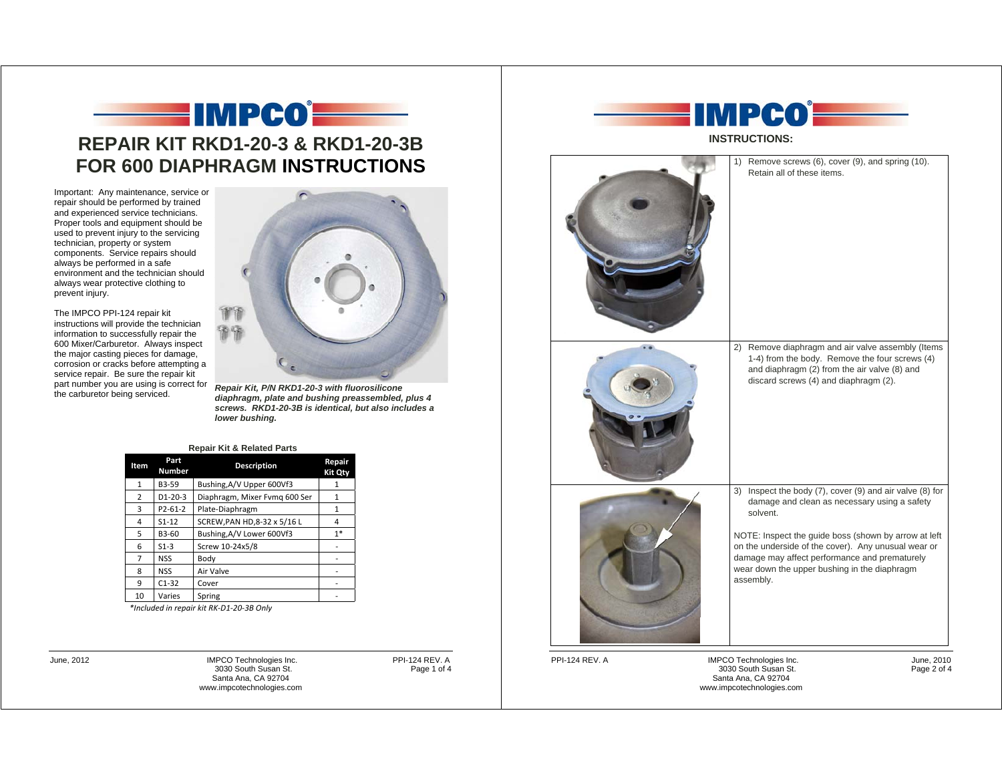

Important: Any maintenance, service or repair should be performed by trained and experienced service technicians. Proper tools and equipment should be used to prevent injury to the servicing technician, property or system components. Service repairs should always be performed in a safe environment and the technician should always wear protective clothing to prevent injury.

The IMPCO PPI-124 repair kit instructions will provide the technician information to successfully repair the 600 Mixer/Carburetor. Always inspect the major casting pieces for damage, corrosion or cracks before attempting a service repair. Be sure the repair kit



part number you are using is correct for **Repair Kit, P/N RKD1-20-3 with fluorosilicone**<br>the carburetor being serviced. **and property of all diaphragm, plate and bushing preassembled, plus 4** *screws. RKD1-20-3B is identical, but also includes a lower bushing.* 

|  |  | <b>Repair Kit &amp; Related Parts</b> |  |
|--|--|---------------------------------------|--|
|--|--|---------------------------------------|--|

| Item | Part<br><b>Number</b> | <b>Description</b>            | Repair<br>Kit Qty |
|------|-----------------------|-------------------------------|-------------------|
| 1    | B3-59                 | Bushing, A/V Upper 600Vf3     | 1                 |
| 2    | $D1 - 20 - 3$         | Diaphragm, Mixer Fvmq 600 Ser | 1                 |
| 3    | $P2 - 61 - 2$         | Plate-Diaphragm               | 1                 |
| 4    | $S1 - 12$             | SCREW, PAN HD, 8-32 x 5/16 L  | 4                 |
| 5    | B3-60                 | Bushing, A/V Lower 600Vf3     | $1*$              |
| 6    | $S1-3$                | Screw 10-24x5/8               |                   |
| 7    | <b>NSS</b>            | Body                          |                   |
| 8    | <b>NSS</b>            | Air Valve                     |                   |
| 9    | $C1-32$               | Cover                         |                   |
| 10   | Varies                | Spring                        |                   |

*\*Included in repair kit RK-D1-20-3B Only* 

June, 2012 **IMPCO Technologies Inc.** PPI-124 REV. A Soluth Susan St. PPI-124 REV. A Page 1 of 4 3030 South Susan St. Santa Ana, CA 92704 www.impcotechnologies.com



**INSTRUCTIONS:** 

|                       | 1) Remove screws (6), cover (9), and spring (10).<br>Retain all of these items.                                                                                                                                                                                                                                                                   |
|-----------------------|---------------------------------------------------------------------------------------------------------------------------------------------------------------------------------------------------------------------------------------------------------------------------------------------------------------------------------------------------|
|                       | 2) Remove diaphragm and air valve assembly (Items<br>1-4) from the body. Remove the four screws (4)<br>and diaphragm (2) from the air valve (8) and<br>discard screws (4) and diaphragm (2).                                                                                                                                                      |
|                       | 3) Inspect the body (7), cover (9) and air valve (8) for<br>damage and clean as necessary using a safety<br>solvent.<br>NOTE: Inspect the guide boss (shown by arrow at left<br>on the underside of the cover). Any unusual wear or<br>damage may affect performance and prematurely<br>wear down the upper bushing in the diaphragm<br>assembly. |
| <b>PPI-124 REV. A</b> | IMPCO Technologies Inc.<br>June, 2010<br>3030 South Susan St.<br>Page 2 of 4                                                                                                                                                                                                                                                                      |

Santa Ana, CA 92704 www.impcotechnologies.com